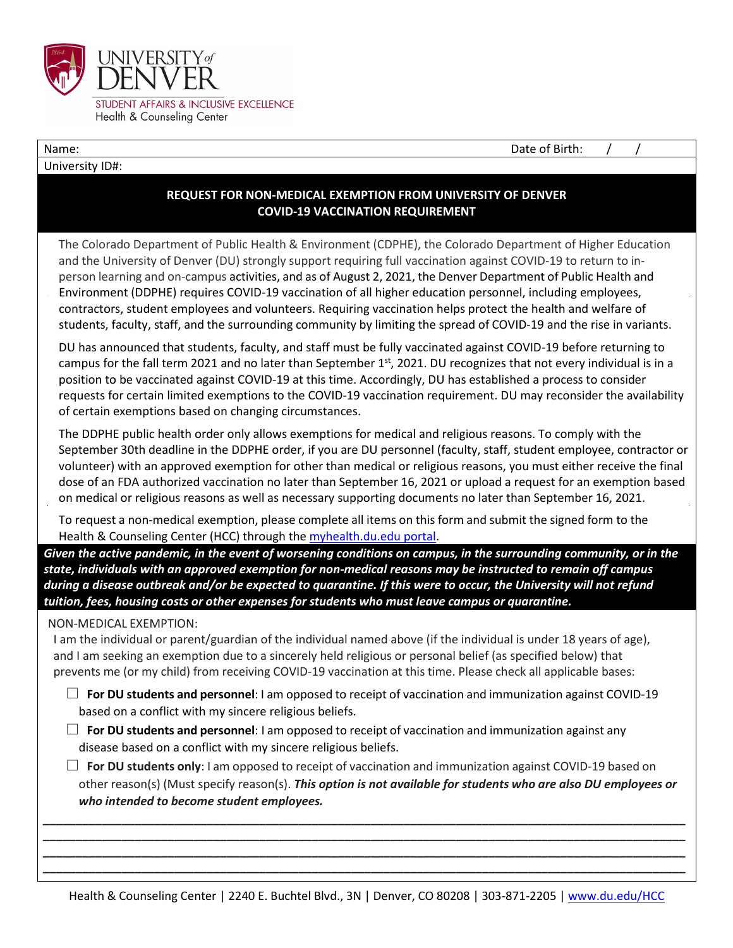

University ID#:

Name: Name: 2008. In the set of Birth:  $\alpha$  /  $\beta$  /  $\beta$  /  $\beta$  /  $\beta$  /  $\beta$  /  $\beta$  /  $\beta$  /  $\beta$  /  $\beta$  /  $\beta$  /  $\beta$  /  $\beta$  /  $\beta$  /  $\beta$  /  $\beta$  /  $\beta$  /  $\beta$  /  $\beta$  /  $\beta$  /  $\beta$  /  $\beta$  /  $\beta$  /  $\beta$  /  $\beta$  /  $\beta$  /

## **REQUEST FOR NON-MEDICAL EXEMPTION FROM UNIVERSITY OF DENVER COVID-19 VACCINATION REQUIREMENT**

The Colorado Department of Public Health & Environment (CDPHE), the Colorado Department of Higher Education and the University of Denver (DU) strongly support requiring full vaccination against COVID-19 to return to inperson learning and on-campus activities, and as of August 2, 2021, the Denver Department of Public Health and Environment (DDPHE) requires COVID-19 vaccination of all higher education personnel, including employees, contractors, student employees and volunteers. Requiring vaccination helps protect the health and welfare of students, faculty, staff, and the surrounding community by limiting the spread of COVID-19 and the rise in variants.

DU has announced that students, faculty, and staff must be fully vaccinated against COVID-19 before returning to campus for the fall term 2021 and no later than September  $1<sup>st</sup>$ , 2021. DU recognizes that not every individual is in a position to be vaccinated against COVID-19 at this time. Accordingly, DU has established a process to consider requests for certain limited exemptions to the COVID-19 vaccination requirement. DU may reconsider the availability of certain exemptions based on changing circumstances.

The DDPHE public health order only allows exemptions for medical and religious reasons. To comply with the September 30th deadline in the DDPHE order, if you are DU personnel (faculty, staff, student employee, contractor or volunteer) with an approved exemption for other than medical or religious reasons, you must either receive the final dose of an FDA authorized vaccination no later than September 16, 2021 or upload a request for an exemption based on medical or religious reasons as well as necessary supporting documents no later than September 16, 2021.

To request a non-medical exemption, please complete all items on this form and submit the signed form to the Health & Counseling Center (HCC) through the [myhealth.du.edu portal.](https://myhealth.du.edu/login_directory.aspx)

*Given the active pandemic, in the event of worsening conditions on campus, in the surrounding community, or in the state, individuals with an approved exemption for non-medical reasons may be instructed to remain off campus during a disease outbreak and/or be expected to quarantine. If this were to occur, the University will not refund tuition, fees, housing costs or other expenses for students who must leave campus or quarantine.*

## NON-MEDICAL EXEMPTION:

I am the individual or parent/guardian of the individual named above (if the individual is under 18 years of age), and I am seeking an exemption due to a sincerely held religious or personal belief (as specified below) that prevents me (or my child) from receiving COVID-19 vaccination at this time. Please check all applicable bases:

- ☐ **For DU students and personnel**: I am opposed to receipt of vaccination and immunization against COVID-19 based on a conflict with my sincere religious beliefs.
- ☐ **For DU students and personnel**: I am opposed to receipt of vaccination and immunization against any disease based on a conflict with my sincere religious beliefs.
- ☐ **For DU students only**: I am opposed to receipt of vaccination and immunization against COVID-19 based on other reason(s) (Must specify reason(s). *This option is not available for students who are also DU employees or who intended to become student employees.*

*\_\_\_\_\_\_\_\_\_\_\_\_\_\_\_\_\_\_\_\_\_\_\_\_\_\_\_\_\_\_\_\_\_\_\_\_\_\_\_\_\_\_\_\_\_\_\_\_\_\_\_\_\_\_\_\_\_\_\_\_\_\_\_\_\_\_\_\_\_\_\_\_\_\_\_\_\_\_\_\_\_\_\_\_\_\_\_\_\_\_\_\_\_\_\_\_\_\_ \_\_\_\_\_\_\_\_\_\_\_\_\_\_\_\_\_\_\_\_\_\_\_\_\_\_\_\_\_\_\_\_\_\_\_\_\_\_\_\_\_\_\_\_\_\_\_\_\_\_\_\_\_\_\_\_\_\_\_\_\_\_\_\_\_\_\_\_\_\_\_\_\_\_\_\_\_\_\_\_\_\_\_\_\_\_\_\_\_\_\_\_\_\_\_\_\_\_ \_\_\_\_\_\_\_\_\_\_\_\_\_\_\_\_\_\_\_\_\_\_\_\_\_\_\_\_\_\_\_\_\_\_\_\_\_\_\_\_\_\_\_\_\_\_\_\_\_\_\_\_\_\_\_\_\_\_\_\_\_\_\_\_\_\_\_\_\_\_\_\_\_\_\_\_\_\_\_\_\_\_\_\_\_\_\_\_\_\_\_\_\_\_\_\_\_\_ \_\_\_\_\_\_\_\_\_\_\_\_\_\_\_\_\_\_\_\_\_\_\_\_\_\_\_\_\_\_\_\_\_\_\_\_\_\_\_\_\_\_\_\_\_\_\_\_\_\_\_\_\_\_\_\_\_\_\_\_\_\_\_\_\_\_\_\_\_\_\_\_\_\_\_\_\_\_\_\_\_\_\_\_\_\_\_\_\_\_\_\_\_\_\_\_\_\_*